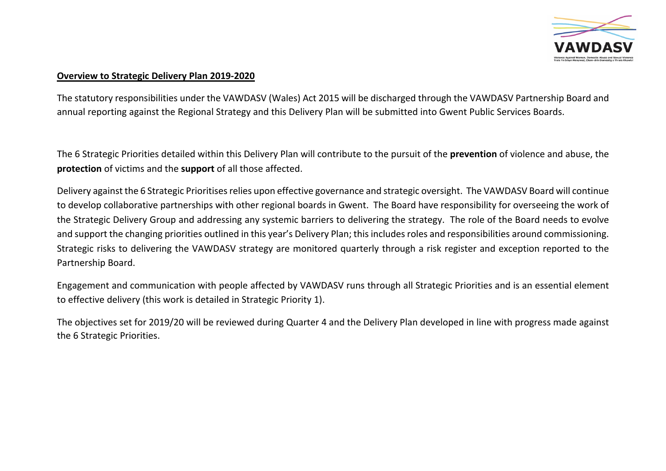

### **Overview to Strategic Delivery Plan 2019-2020**

The statutory responsibilities under the VAWDASV (Wales) Act 2015 will be discharged through the VAWDASV Partnership Board and annual reporting against the Regional Strategy and this Delivery Plan will be submitted into Gwent Public Services Boards.

The 6 Strategic Priorities detailed within this Delivery Plan will contribute to the pursuit of the **prevention** of violence and abuse, the **protection** of victims and the **support** of all those affected.

Delivery against the 6 Strategic Prioritises relies upon effective governance and strategic oversight. The VAWDASV Board will continue to develop collaborative partnerships with other regional boards in Gwent. The Board have responsibility for overseeing the work of the Strategic Delivery Group and addressing any systemic barriers to delivering the strategy. The role of the Board needs to evolve and support the changing priorities outlined in this year's Delivery Plan; this includes roles and responsibilities around commissioning. Strategic risks to delivering the VAWDASV strategy are monitored quarterly through a risk register and exception reported to the Partnership Board.

Engagement and communication with people affected by VAWDASV runs through all Strategic Priorities and is an essential element to effective delivery (this work is detailed in Strategic Priority 1).

The objectives set for 2019/20 will be reviewed during Quarter 4 and the Delivery Plan developed in line with progress made against the 6 Strategic Priorities.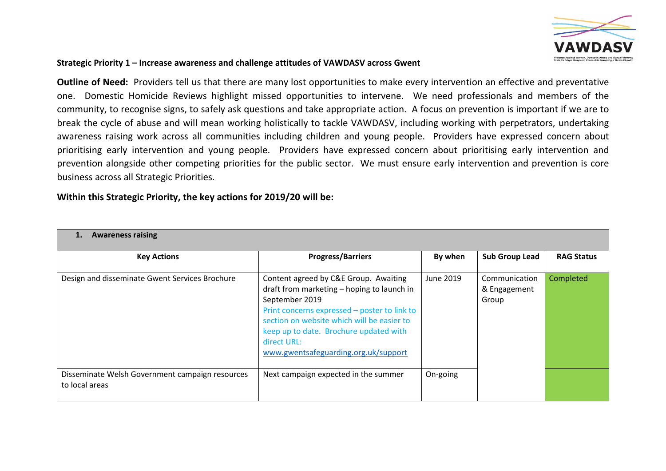

#### **Strategic Priority 1 – Increase awareness and challenge attitudes of VAWDASV across Gwent**

**Outline of Need:** Providers tell us that there are many lost opportunities to make every intervention an effective and preventative one. Domestic Homicide Reviews highlight missed opportunities to intervene. We need professionals and members of the community, to recognise signs, to safely ask questions and take appropriate action. A focus on prevention is important if we are to break the cycle of abuse and will mean working holistically to tackle VAWDASV, including working with perpetrators, undertaking awareness raising work across all communities including children and young people. Providers have expressed concern about prioritising early intervention and young people. Providers have expressed concern about prioritising early intervention and prevention alongside other competing priorities for the public sector. We must ensure early intervention and prevention is core business across all Strategic Priorities.

| <b>Awareness raising</b>                                          |                                                                                                                                                                                                                                                                                                      |           |                                        |                   |
|-------------------------------------------------------------------|------------------------------------------------------------------------------------------------------------------------------------------------------------------------------------------------------------------------------------------------------------------------------------------------------|-----------|----------------------------------------|-------------------|
| <b>Key Actions</b>                                                | <b>Progress/Barriers</b>                                                                                                                                                                                                                                                                             | By when   | <b>Sub Group Lead</b>                  | <b>RAG Status</b> |
| Design and disseminate Gwent Services Brochure                    | Content agreed by C&E Group. Awaiting<br>draft from marketing - hoping to launch in<br>September 2019<br>Print concerns expressed - poster to link to<br>section on website which will be easier to<br>keep up to date. Brochure updated with<br>direct URL:<br>www.gwentsafeguarding.org.uk/support | June 2019 | Communication<br>& Engagement<br>Group | Completed         |
| Disseminate Welsh Government campaign resources<br>to local areas | Next campaign expected in the summer                                                                                                                                                                                                                                                                 | On-going  |                                        |                   |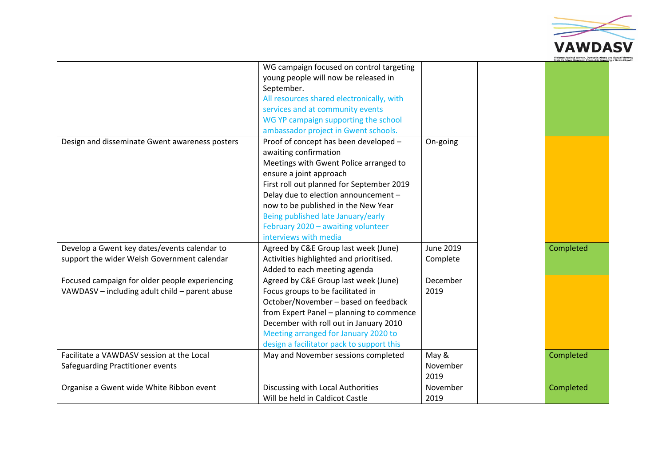

|                                                                                                  | WG campaign focused on control targeting<br>young people will now be released in<br>September.<br>All resources shared electronically, with                                                                                                                                                                                                                          |                              |           |
|--------------------------------------------------------------------------------------------------|----------------------------------------------------------------------------------------------------------------------------------------------------------------------------------------------------------------------------------------------------------------------------------------------------------------------------------------------------------------------|------------------------------|-----------|
|                                                                                                  | services and at community events<br>WG YP campaign supporting the school<br>ambassador project in Gwent schools.                                                                                                                                                                                                                                                     |                              |           |
| Design and disseminate Gwent awareness posters                                                   | Proof of concept has been developed -<br>awaiting confirmation<br>Meetings with Gwent Police arranged to<br>ensure a joint approach<br>First roll out planned for September 2019<br>Delay due to election announcement -<br>now to be published in the New Year<br>Being published late January/early<br>February 2020 - awaiting volunteer<br>interviews with media | On-going                     |           |
| Develop a Gwent key dates/events calendar to<br>support the wider Welsh Government calendar      | Agreed by C&E Group last week (June)<br>Activities highlighted and prioritised.<br>Added to each meeting agenda                                                                                                                                                                                                                                                      | <b>June 2019</b><br>Complete | Completed |
| Focused campaign for older people experiencing<br>VAWDASV - including adult child - parent abuse | Agreed by C&E Group last week (June)<br>Focus groups to be facilitated in<br>October/November - based on feedback<br>from Expert Panel - planning to commence<br>December with roll out in January 2010<br>Meeting arranged for January 2020 to<br>design a facilitator pack to support this                                                                         | December<br>2019             |           |
| Facilitate a VAWDASV session at the Local<br>Safeguarding Practitioner events                    | May and November sessions completed                                                                                                                                                                                                                                                                                                                                  | May &<br>November<br>2019    | Completed |
| Organise a Gwent wide White Ribbon event                                                         | Discussing with Local Authorities<br>Will be held in Caldicot Castle                                                                                                                                                                                                                                                                                                 | November<br>2019             | Completed |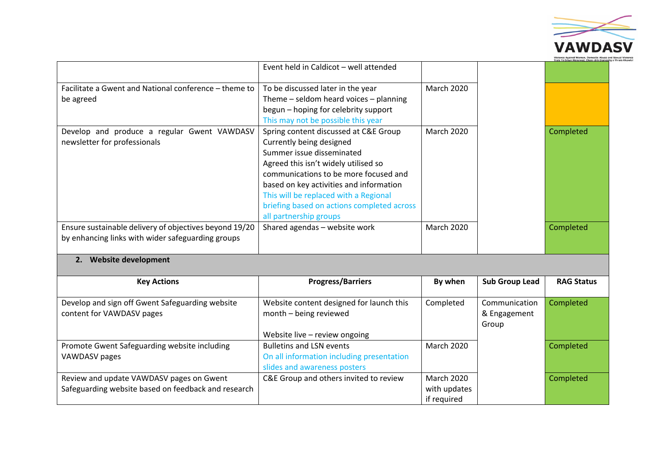

|                                                                                                             |                                                                                                                                                                                                                                                                                                                                             |                   | Trais Yn Frhyn Menywod, Cham-drin Dome |
|-------------------------------------------------------------------------------------------------------------|---------------------------------------------------------------------------------------------------------------------------------------------------------------------------------------------------------------------------------------------------------------------------------------------------------------------------------------------|-------------------|----------------------------------------|
|                                                                                                             | Event held in Caldicot - well attended                                                                                                                                                                                                                                                                                                      |                   |                                        |
| Facilitate a Gwent and National conference – theme to<br>be agreed                                          | To be discussed later in the year<br>Theme $-$ seldom heard voices $-$ planning<br>begun - hoping for celebrity support<br>This may not be possible this year                                                                                                                                                                               | <b>March 2020</b> |                                        |
| Develop and produce a regular Gwent VAWDASV<br>newsletter for professionals                                 | Spring content discussed at C&E Group<br>Currently being designed<br>Summer issue disseminated<br>Agreed this isn't widely utilised so<br>communications to be more focused and<br>based on key activities and information<br>This will be replaced with a Regional<br>briefing based on actions completed across<br>all partnership groups | <b>March 2020</b> | Completed                              |
| Ensure sustainable delivery of objectives beyond 19/20<br>by enhancing links with wider safeguarding groups | Shared agendas - website work                                                                                                                                                                                                                                                                                                               | <b>March 2020</b> | Completed                              |

#### **2. Website development**

| <b>Key Actions</b>                                  | <b>Progress/Barriers</b>                  | By when           | <b>Sub Group Lead</b> | <b>RAG Status</b> |
|-----------------------------------------------------|-------------------------------------------|-------------------|-----------------------|-------------------|
|                                                     |                                           |                   |                       |                   |
| Develop and sign off Gwent Safeguarding website     | Website content designed for launch this  | Completed         | Communication         | Completed         |
| content for VAWDASV pages                           | month - being reviewed                    |                   | & Engagement          |                   |
|                                                     |                                           |                   | Group                 |                   |
|                                                     | Website live - review ongoing             |                   |                       |                   |
| Promote Gwent Safeguarding website including        | <b>Bulletins and LSN events</b>           | <b>March 2020</b> |                       | Completed         |
| VAWDASV pages                                       | On all information including presentation |                   |                       |                   |
|                                                     | slides and awareness posters              |                   |                       |                   |
| Review and update VAWDASV pages on Gwent            | C&E Group and others invited to review    | <b>March 2020</b> |                       | Completed         |
| Safeguarding website based on feedback and research |                                           | with updates      |                       |                   |
|                                                     |                                           | if required       |                       |                   |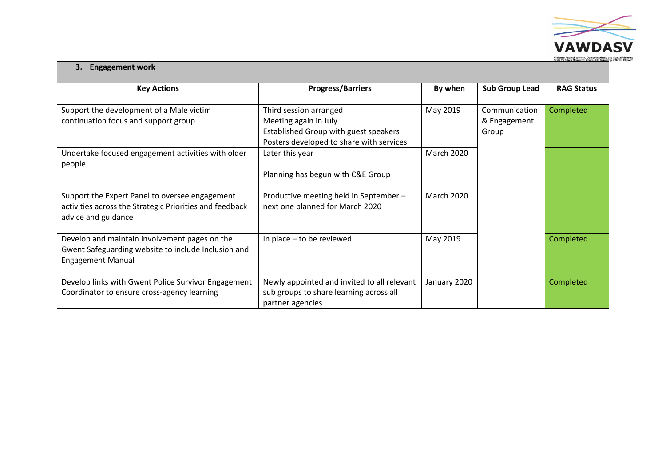

#### **3. Engagement work**

| <b>Key Actions</b>                                      | <b>Progress/Barriers</b>                    | By when           | <b>Sub Group Lead</b> | <b>RAG Status</b> |  |  |
|---------------------------------------------------------|---------------------------------------------|-------------------|-----------------------|-------------------|--|--|
|                                                         |                                             |                   |                       |                   |  |  |
| Support the development of a Male victim                | Third session arranged                      | May 2019          | Communication         | Completed         |  |  |
| continuation focus and support group                    | Meeting again in July                       |                   | & Engagement          |                   |  |  |
|                                                         | Established Group with guest speakers       |                   | Group                 |                   |  |  |
|                                                         | Posters developed to share with services    |                   |                       |                   |  |  |
| Undertake focused engagement activities with older      | Later this year                             | <b>March 2020</b> |                       |                   |  |  |
| people                                                  |                                             |                   |                       |                   |  |  |
|                                                         | Planning has begun with C&E Group           |                   |                       |                   |  |  |
|                                                         |                                             |                   |                       |                   |  |  |
| Support the Expert Panel to oversee engagement          | Productive meeting held in September -      | <b>March 2020</b> |                       |                   |  |  |
| activities across the Strategic Priorities and feedback | next one planned for March 2020             |                   |                       |                   |  |  |
| advice and guidance                                     |                                             |                   |                       |                   |  |  |
|                                                         |                                             |                   |                       |                   |  |  |
| Develop and maintain involvement pages on the           | In place $-$ to be reviewed.                | May 2019          |                       | Completed         |  |  |
| Gwent Safeguarding website to include Inclusion and     |                                             |                   |                       |                   |  |  |
| <b>Engagement Manual</b>                                |                                             |                   |                       |                   |  |  |
|                                                         |                                             |                   |                       |                   |  |  |
| Develop links with Gwent Police Survivor Engagement     | Newly appointed and invited to all relevant | January 2020      |                       | Completed         |  |  |
| Coordinator to ensure cross-agency learning             | sub groups to share learning across all     |                   |                       |                   |  |  |
|                                                         | partner agencies                            |                   |                       |                   |  |  |
|                                                         |                                             |                   |                       |                   |  |  |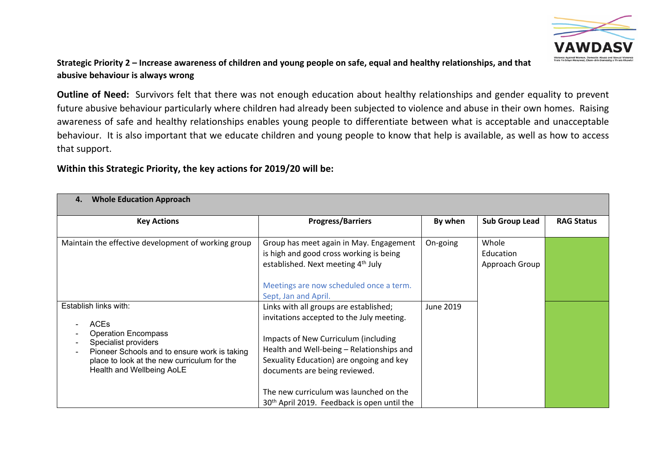

# Strategic Priority 2 – Increase awareness of children and young people on safe, equal and healthy relationships, and that **abusive behaviour is always wrong**

**Outline of Need:** Survivors felt that there was not enough education about healthy relationships and gender equality to prevent future abusive behaviour particularly where children had already been subjected to violence and abuse in their own homes. Raising awareness of safe and healthy relationships enables young people to differentiate between what is acceptable and unacceptable behaviour. It is also important that we educate children and young people to know that help is available, as well as how to access that support.

| <b>Whole Education Approach</b>                                                                                                                                                                                        |                                                                                                                                                                                                                                                                                                                                                            |           |                                      |                   |
|------------------------------------------------------------------------------------------------------------------------------------------------------------------------------------------------------------------------|------------------------------------------------------------------------------------------------------------------------------------------------------------------------------------------------------------------------------------------------------------------------------------------------------------------------------------------------------------|-----------|--------------------------------------|-------------------|
| <b>Key Actions</b>                                                                                                                                                                                                     | <b>Progress/Barriers</b>                                                                                                                                                                                                                                                                                                                                   | By when   | <b>Sub Group Lead</b>                | <b>RAG Status</b> |
| Maintain the effective development of working group                                                                                                                                                                    | Group has meet again in May. Engagement<br>is high and good cross working is being<br>established. Next meeting 4 <sup>th</sup> July<br>Meetings are now scheduled once a term.<br>Sept, Jan and April.                                                                                                                                                    | On-going  | Whole<br>Education<br>Approach Group |                   |
| Establish links with:<br><b>ACEs</b><br><b>Operation Encompass</b><br>Specialist providers<br>Pioneer Schools and to ensure work is taking<br>place to look at the new curriculum for the<br>Health and Wellbeing AoLE | Links with all groups are established;<br>invitations accepted to the July meeting.<br>Impacts of New Curriculum (including<br>Health and Well-being - Relationships and<br>Sexuality Education) are ongoing and key<br>documents are being reviewed.<br>The new curriculum was launched on the<br>30 <sup>th</sup> April 2019. Feedback is open until the | June 2019 |                                      |                   |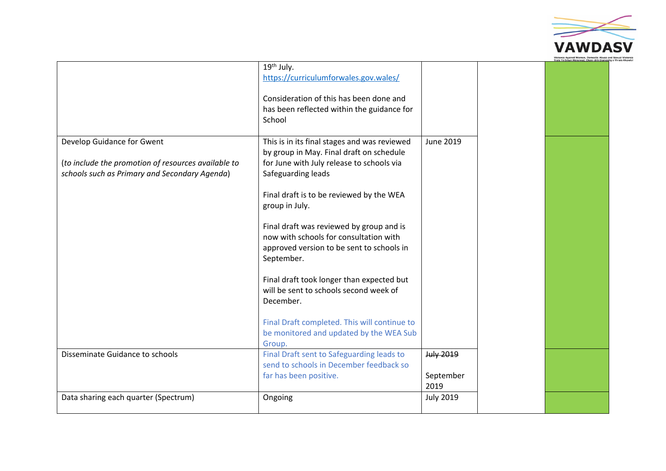

|                                                     | 19th July.                                   |                  |  |
|-----------------------------------------------------|----------------------------------------------|------------------|--|
|                                                     | https://curriculumforwales.gov.wales/        |                  |  |
|                                                     |                                              |                  |  |
|                                                     | Consideration of this has been done and      |                  |  |
|                                                     | has been reflected within the guidance for   |                  |  |
|                                                     | School                                       |                  |  |
|                                                     |                                              |                  |  |
| Develop Guidance for Gwent                          | This is in its final stages and was reviewed | June 2019        |  |
|                                                     | by group in May. Final draft on schedule     |                  |  |
| (to include the promotion of resources available to | for June with July release to schools via    |                  |  |
| schools such as Primary and Secondary Agenda)       | Safeguarding leads                           |                  |  |
|                                                     |                                              |                  |  |
|                                                     | Final draft is to be reviewed by the WEA     |                  |  |
|                                                     | group in July.                               |                  |  |
|                                                     |                                              |                  |  |
|                                                     |                                              |                  |  |
|                                                     | Final draft was reviewed by group and is     |                  |  |
|                                                     | now with schools for consultation with       |                  |  |
|                                                     | approved version to be sent to schools in    |                  |  |
|                                                     | September.                                   |                  |  |
|                                                     |                                              |                  |  |
|                                                     | Final draft took longer than expected but    |                  |  |
|                                                     | will be sent to schools second week of       |                  |  |
|                                                     | December.                                    |                  |  |
|                                                     |                                              |                  |  |
|                                                     | Final Draft completed. This will continue to |                  |  |
|                                                     | be monitored and updated by the WEA Sub      |                  |  |
|                                                     | Group.                                       |                  |  |
| Disseminate Guidance to schools                     | Final Draft sent to Safeguarding leads to    | July 2019        |  |
|                                                     | send to schools in December feedback so      |                  |  |
|                                                     | far has been positive.                       | September        |  |
|                                                     |                                              | 2019             |  |
| Data sharing each quarter (Spectrum)                | Ongoing                                      | <b>July 2019</b> |  |
|                                                     |                                              |                  |  |
|                                                     |                                              |                  |  |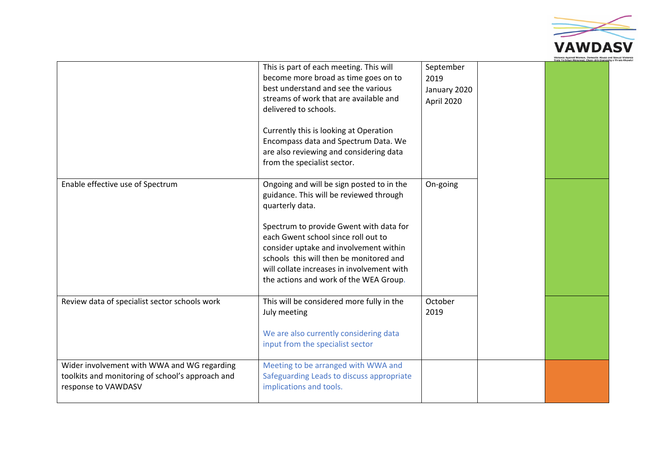

|                                                                                                                        | This is part of each meeting. This will<br>become more broad as time goes on to<br>best understand and see the various<br>streams of work that are available and<br>delivered to schools.                                                                   | September<br>2019<br>January 2020<br>April 2020 |  |
|------------------------------------------------------------------------------------------------------------------------|-------------------------------------------------------------------------------------------------------------------------------------------------------------------------------------------------------------------------------------------------------------|-------------------------------------------------|--|
|                                                                                                                        | Currently this is looking at Operation<br>Encompass data and Spectrum Data. We<br>are also reviewing and considering data<br>from the specialist sector.                                                                                                    |                                                 |  |
| Enable effective use of Spectrum                                                                                       | Ongoing and will be sign posted to in the<br>guidance. This will be reviewed through<br>quarterly data.                                                                                                                                                     | On-going                                        |  |
|                                                                                                                        | Spectrum to provide Gwent with data for<br>each Gwent school since roll out to<br>consider uptake and involvement within<br>schools this will then be monitored and<br>will collate increases in involvement with<br>the actions and work of the WEA Group. |                                                 |  |
| Review data of specialist sector schools work                                                                          | This will be considered more fully in the<br>July meeting<br>We are also currently considering data                                                                                                                                                         | October<br>2019                                 |  |
|                                                                                                                        | input from the specialist sector                                                                                                                                                                                                                            |                                                 |  |
| Wider involvement with WWA and WG regarding<br>toolkits and monitoring of school's approach and<br>response to VAWDASV | Meeting to be arranged with WWA and<br>Safeguarding Leads to discuss appropriate<br>implications and tools.                                                                                                                                                 |                                                 |  |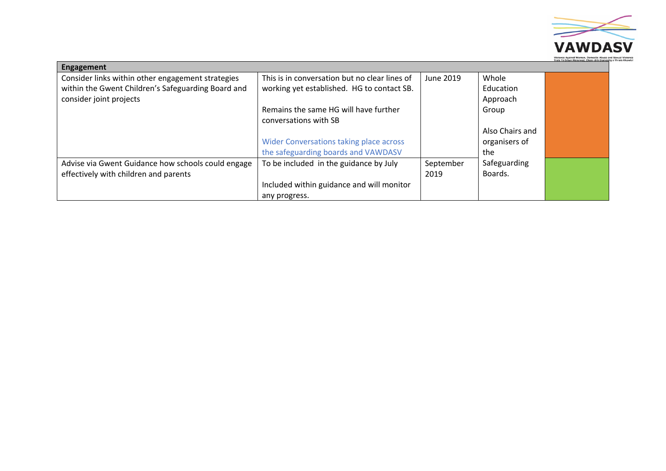

| Engagement                                         |                                               |           |                 |  |
|----------------------------------------------------|-----------------------------------------------|-----------|-----------------|--|
| Consider links within other engagement strategies  | This is in conversation but no clear lines of | June 2019 | Whole           |  |
| within the Gwent Children's Safeguarding Board and | working yet established. HG to contact SB.    |           | Education       |  |
| consider joint projects                            |                                               |           | Approach        |  |
|                                                    | Remains the same HG will have further         |           | Group           |  |
|                                                    | conversations with SB                         |           |                 |  |
|                                                    |                                               |           | Also Chairs and |  |
|                                                    | Wider Conversations taking place across       |           | organisers of   |  |
|                                                    | the safeguarding boards and VAWDASV           |           | the             |  |
| Advise via Gwent Guidance how schools could engage | To be included in the guidance by July        | September | Safeguarding    |  |
| effectively with children and parents              |                                               | 2019      | Boards.         |  |
|                                                    | Included within guidance and will monitor     |           |                 |  |
|                                                    | any progress.                                 |           |                 |  |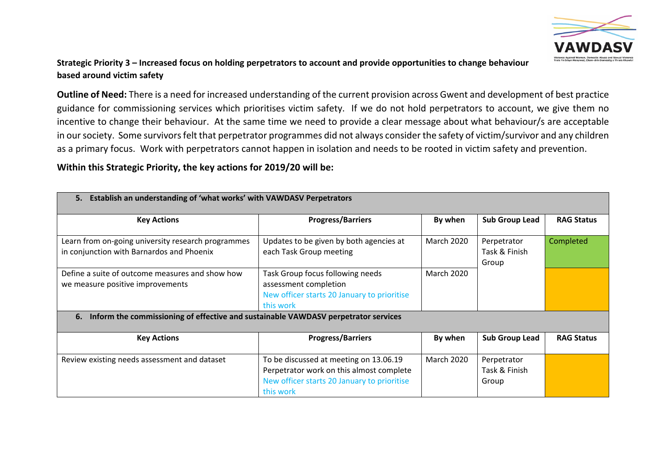

# Strategic Priority 3 – Increased focus on holding perpetrators to account and provide opportunities to change behaviour **based around victim safety**

**Outline of Need:** There is a need for increased understanding of the current provision across Gwent and development of best practice guidance for commissioning services which prioritises victim safety. If we do not hold perpetrators to account, we give them no incentive to change their behaviour. At the same time we need to provide a clear message about what behaviour/s are acceptable in our society. Some survivors felt that perpetrator programmes did not always consider the safety of victim/survivor and any children as a primary focus. Work with perpetrators cannot happen in isolation and needs to be rooted in victim safety and prevention.

| 5.<br>Establish an understanding of 'what works' with VAWDASV Perpetrators                      |                                                                                                                                                |                   |                                       |                   |
|-------------------------------------------------------------------------------------------------|------------------------------------------------------------------------------------------------------------------------------------------------|-------------------|---------------------------------------|-------------------|
| <b>Key Actions</b>                                                                              | <b>Progress/Barriers</b>                                                                                                                       | By when           | <b>Sub Group Lead</b>                 | <b>RAG Status</b> |
| Learn from on-going university research programmes<br>in conjunction with Barnardos and Phoenix | Updates to be given by both agencies at<br>each Task Group meeting                                                                             | <b>March 2020</b> | Perpetrator<br>Task & Finish<br>Group | Completed         |
| Define a suite of outcome measures and show how<br>we measure positive improvements             | Task Group focus following needs<br>assessment completion<br>New officer starts 20 January to prioritise<br>this work                          | <b>March 2020</b> |                                       |                   |
| Inform the commissioning of effective and sustainable VAWDASV perpetrator services<br>6.        |                                                                                                                                                |                   |                                       |                   |
| <b>Key Actions</b>                                                                              | <b>Progress/Barriers</b>                                                                                                                       | By when           | <b>Sub Group Lead</b>                 | <b>RAG Status</b> |
| Review existing needs assessment and dataset                                                    | To be discussed at meeting on 13.06.19<br>Perpetrator work on this almost complete<br>New officer starts 20 January to prioritise<br>this work | <b>March 2020</b> | Perpetrator<br>Task & Finish<br>Group |                   |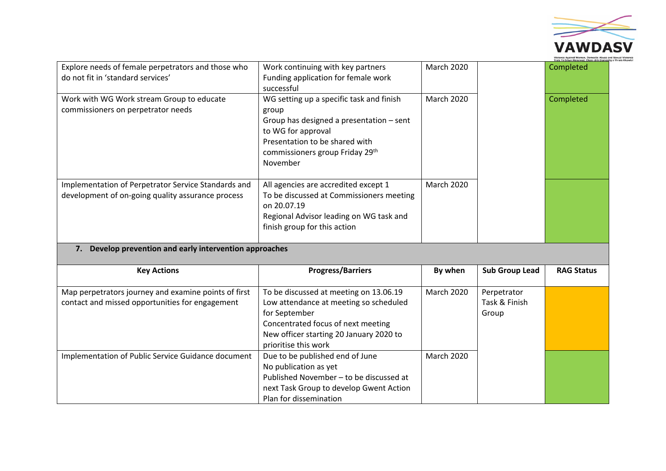

|                                                                                                          |                                                                                                                                                                                                            |                   |                                       | Trais Yn Erbyn Menywod, Cham-drin D |
|----------------------------------------------------------------------------------------------------------|------------------------------------------------------------------------------------------------------------------------------------------------------------------------------------------------------------|-------------------|---------------------------------------|-------------------------------------|
| Explore needs of female perpetrators and those who<br>do not fit in 'standard services'                  | Work continuing with key partners<br>Funding application for female work<br>successful                                                                                                                     | <b>March 2020</b> |                                       | Completed                           |
| Work with WG Work stream Group to educate<br>commissioners on perpetrator needs                          | WG setting up a specific task and finish<br>group<br>Group has designed a presentation - sent<br>to WG for approval<br>Presentation to be shared with<br>commissioners group Friday 29th<br>November       | <b>March 2020</b> |                                       | Completed                           |
| Implementation of Perpetrator Service Standards and<br>development of on-going quality assurance process | All agencies are accredited except 1<br>To be discussed at Commissioners meeting<br>on 20.07.19<br>Regional Advisor leading on WG task and<br>finish group for this action                                 | <b>March 2020</b> |                                       |                                     |
| Develop prevention and early intervention approaches<br>7.                                               |                                                                                                                                                                                                            |                   |                                       |                                     |
| <b>Key Actions</b>                                                                                       | <b>Progress/Barriers</b>                                                                                                                                                                                   | By when           | <b>Sub Group Lead</b>                 | <b>RAG Status</b>                   |
| Map perpetrators journey and examine points of first<br>contact and missed opportunities for engagement  | To be discussed at meeting on 13.06.19<br>Low attendance at meeting so scheduled<br>for September<br>Concentrated focus of next meeting<br>New officer starting 20 January 2020 to<br>prioritise this work | <b>March 2020</b> | Perpetrator<br>Task & Finish<br>Group |                                     |
| Implementation of Public Service Guidance document                                                       | Due to be published end of June<br>No publication as yet<br>Published November - to be discussed at<br>next Task Group to develop Gwent Action<br>Plan for dissemination                                   | <b>March 2020</b> |                                       |                                     |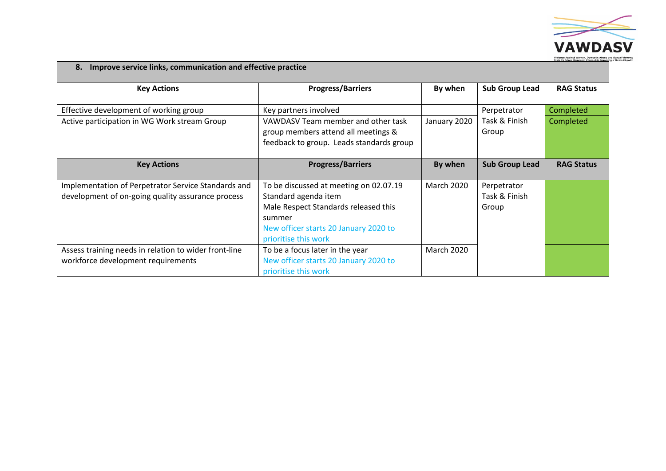

| Improve service links, communication and effective practice<br>8.                                        |                                                                                                                                                                                   |                   |                                       |                   |
|----------------------------------------------------------------------------------------------------------|-----------------------------------------------------------------------------------------------------------------------------------------------------------------------------------|-------------------|---------------------------------------|-------------------|
| <b>Key Actions</b>                                                                                       | <b>Progress/Barriers</b>                                                                                                                                                          | By when           | <b>Sub Group Lead</b>                 | <b>RAG Status</b> |
| Effective development of working group                                                                   | Key partners involved                                                                                                                                                             |                   | Perpetrator                           | Completed         |
| Active participation in WG Work stream Group                                                             | VAWDASV Team member and other task<br>group members attend all meetings &<br>feedback to group. Leads standards group                                                             | January 2020      | Task & Finish<br>Group                | Completed         |
| <b>Key Actions</b>                                                                                       | <b>Progress/Barriers</b>                                                                                                                                                          | By when           | <b>Sub Group Lead</b>                 | <b>RAG Status</b> |
| Implementation of Perpetrator Service Standards and<br>development of on-going quality assurance process | To be discussed at meeting on 02.07.19<br>Standard agenda item<br>Male Respect Standards released this<br>summer<br>New officer starts 20 January 2020 to<br>prioritise this work | March 2020        | Perpetrator<br>Task & Finish<br>Group |                   |
| Assess training needs in relation to wider front-line<br>workforce development requirements              | To be a focus later in the year<br>New officer starts 20 January 2020 to<br>prioritise this work                                                                                  | <b>March 2020</b> |                                       |                   |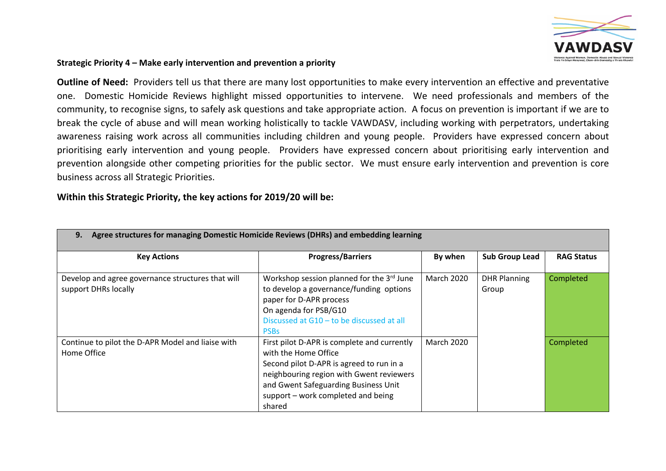

#### **Strategic Priority 4 – Make early intervention and prevention a priority**

**Outline of Need:** Providers tell us that there are many lost opportunities to make every intervention an effective and preventative one. Domestic Homicide Reviews highlight missed opportunities to intervene. We need professionals and members of the community, to recognise signs, to safely ask questions and take appropriate action. A focus on prevention is important if we are to break the cycle of abuse and will mean working holistically to tackle VAWDASV, including working with perpetrators, undertaking awareness raising work across all communities including children and young people. Providers have expressed concern about prioritising early intervention and young people. Providers have expressed concern about prioritising early intervention and prevention alongside other competing priorities for the public sector. We must ensure early intervention and prevention is core business across all Strategic Priorities.

| Agree structures for managing Domestic Homicide Reviews (DHRs) and embedding learning<br>9. |                                                                                                                                                                                                                                                     |                   |                              |                   |
|---------------------------------------------------------------------------------------------|-----------------------------------------------------------------------------------------------------------------------------------------------------------------------------------------------------------------------------------------------------|-------------------|------------------------------|-------------------|
| <b>Key Actions</b>                                                                          | <b>Progress/Barriers</b>                                                                                                                                                                                                                            | By when           | <b>Sub Group Lead</b>        | <b>RAG Status</b> |
| Develop and agree governance structures that will<br>support DHRs locally                   | Workshop session planned for the 3rd June<br>to develop a governance/funding options<br>paper for D-APR process<br>On agenda for PSB/G10<br>Discussed at G10 - to be discussed at all<br><b>PSBs</b>                                                | March 2020        | <b>DHR Planning</b><br>Group | Completed         |
| Continue to pilot the D-APR Model and liaise with<br>Home Office                            | First pilot D-APR is complete and currently<br>with the Home Office<br>Second pilot D-APR is agreed to run in a<br>neighbouring region with Gwent reviewers<br>and Gwent Safeguarding Business Unit<br>support - work completed and being<br>shared | <b>March 2020</b> |                              | Completed         |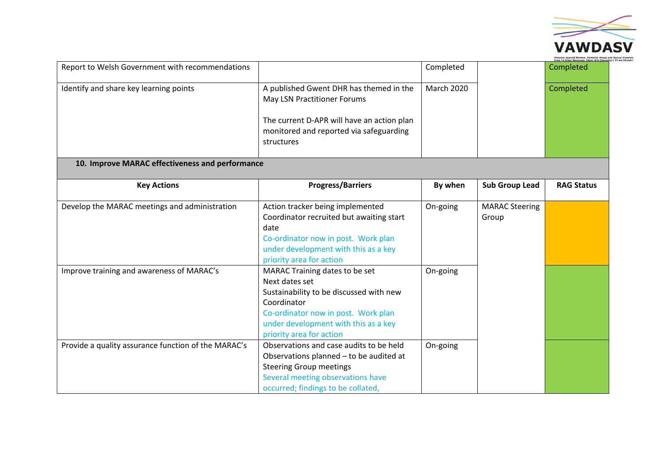

|                                                     |                                                                                                                                                                                                                       |                   |                                | <b>Trais Yn Erbyn Menywod, Cham-drin Domes</b> |
|-----------------------------------------------------|-----------------------------------------------------------------------------------------------------------------------------------------------------------------------------------------------------------------------|-------------------|--------------------------------|------------------------------------------------|
| Report to Welsh Government with recommendations     |                                                                                                                                                                                                                       | Completed         |                                | Completed                                      |
| Identify and share key learning points              | A published Gwent DHR has themed in the<br>May LSN Practitioner Forums                                                                                                                                                | <b>March 2020</b> |                                | Completed                                      |
|                                                     | The current D-APR will have an action plan<br>monitored and reported via safeguarding<br>structures                                                                                                                   |                   |                                |                                                |
| 10. Improve MARAC effectiveness and performance     |                                                                                                                                                                                                                       |                   |                                |                                                |
| <b>Key Actions</b>                                  | <b>Progress/Barriers</b>                                                                                                                                                                                              | By when           | <b>Sub Group Lead</b>          | <b>RAG Status</b>                              |
| Develop the MARAC meetings and administration       | Action tracker being implemented<br>Coordinator recruited but awaiting start<br>date<br>Co-ordinator now in post. Work plan<br>under development with this as a key<br>priority area for action                       | On-going          | <b>MARAC Steering</b><br>Group |                                                |
| Improve training and awareness of MARAC's           | MARAC Training dates to be set<br>Next dates set<br>Sustainability to be discussed with new<br>Coordinator<br>Co-ordinator now in post. Work plan<br>under development with this as a key<br>priority area for action | On-going          |                                |                                                |
| Provide a quality assurance function of the MARAC's | Observations and case audits to be held<br>Observations planned - to be audited at<br><b>Steering Group meetings</b><br>Several meeting observations have<br>occurred; findings to be collated,                       | On-going          |                                |                                                |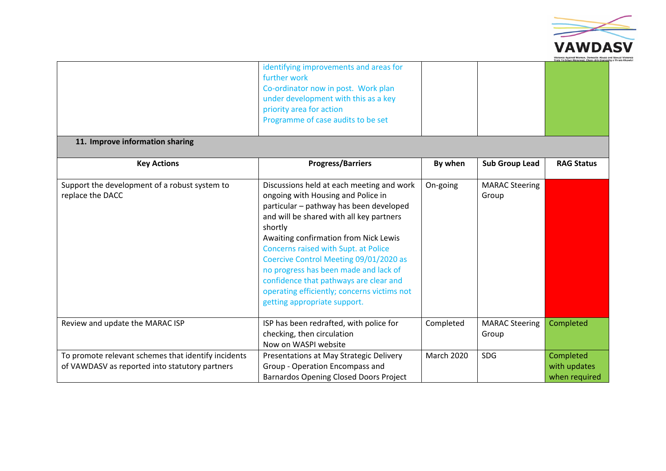

|                                                                                                       |                                                                                                                                                                                                                                                                                                                                                                                                                                                                                |                   |                                | Trais Yn Erbyn Menywod, Cham-drin Do       |
|-------------------------------------------------------------------------------------------------------|--------------------------------------------------------------------------------------------------------------------------------------------------------------------------------------------------------------------------------------------------------------------------------------------------------------------------------------------------------------------------------------------------------------------------------------------------------------------------------|-------------------|--------------------------------|--------------------------------------------|
|                                                                                                       | identifying improvements and areas for<br>further work<br>Co-ordinator now in post. Work plan<br>under development with this as a key<br>priority area for action<br>Programme of case audits to be set                                                                                                                                                                                                                                                                        |                   |                                |                                            |
| 11. Improve information sharing                                                                       |                                                                                                                                                                                                                                                                                                                                                                                                                                                                                |                   |                                |                                            |
| <b>Key Actions</b>                                                                                    | <b>Progress/Barriers</b>                                                                                                                                                                                                                                                                                                                                                                                                                                                       | By when           | <b>Sub Group Lead</b>          | <b>RAG Status</b>                          |
| Support the development of a robust system to<br>replace the DACC                                     | Discussions held at each meeting and work<br>ongoing with Housing and Police in<br>particular - pathway has been developed<br>and will be shared with all key partners<br>shortly<br>Awaiting confirmation from Nick Lewis<br>Concerns raised with Supt. at Police<br>Coercive Control Meeting 09/01/2020 as<br>no progress has been made and lack of<br>confidence that pathways are clear and<br>operating efficiently; concerns victims not<br>getting appropriate support. | On-going          | <b>MARAC Steering</b><br>Group |                                            |
| Review and update the MARAC ISP                                                                       | ISP has been redrafted, with police for<br>checking, then circulation<br>Now on WASPI website                                                                                                                                                                                                                                                                                                                                                                                  | Completed         | <b>MARAC Steering</b><br>Group | Completed                                  |
| To promote relevant schemes that identify incidents<br>of VAWDASV as reported into statutory partners | Presentations at May Strategic Delivery<br>Group - Operation Encompass and<br><b>Barnardos Opening Closed Doors Project</b>                                                                                                                                                                                                                                                                                                                                                    | <b>March 2020</b> | <b>SDG</b>                     | Completed<br>with updates<br>when required |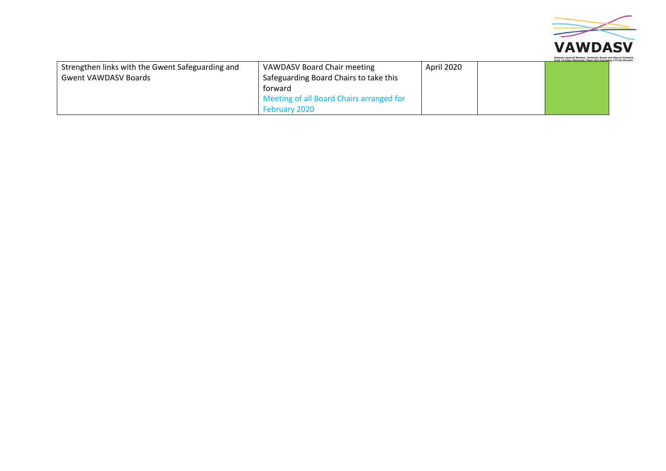

|                                                  |                                          |            | Trais Yn Erbyn Menywod, Cham-drin Domestig a Thrais Rh |
|--------------------------------------------------|------------------------------------------|------------|--------------------------------------------------------|
| Strengthen links with the Gwent Safeguarding and | VAWDASV Board Chair meeting              | April 2020 |                                                        |
| <b>Gwent VAWDASV Boards</b>                      | Safeguarding Board Chairs to take this   |            |                                                        |
|                                                  | torward                                  |            |                                                        |
|                                                  | Meeting of all Board Chairs arranged for |            |                                                        |
|                                                  | <b>February 2020</b>                     |            |                                                        |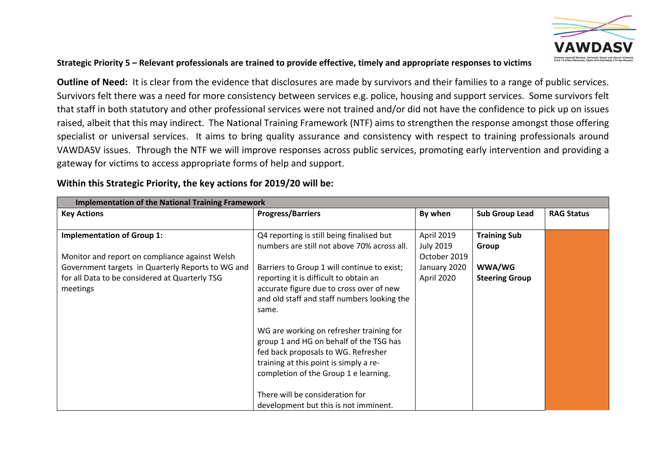

#### Strategic Priority 5 – Relevant professionals are trained to provide effective, timely and appropriate responses to victims

**Outline of Need:** It is clear from the evidence that disclosures are made by survivors and their families to a range of public services. Survivors felt there was a need for more consistency between services e.g. police, housing and support services. Some survivors felt that staff in both statutory and other professional services were not trained and/or did not have the confidence to pick up on issues raised, albeit that this may indirect. The National Training Framework (NTF) aims to strengthen the response amongst those offering specialist or universal services. It aims to bring quality assurance and consistency with respect to training professionals around VAWDASV issues. Through the NTF we will improve responses across public services, promoting early intervention and providing a gateway for victims to access appropriate forms of help and support.

| Within this Strategic Priority, the key actions for 2019/20 will be: |  |  |  |
|----------------------------------------------------------------------|--|--|--|
|----------------------------------------------------------------------|--|--|--|

| <b>Implementation of the National Training Framework</b> |                                             |                  |                       |                   |
|----------------------------------------------------------|---------------------------------------------|------------------|-----------------------|-------------------|
| <b>Key Actions</b>                                       | <b>Progress/Barriers</b>                    | By when          | <b>Sub Group Lead</b> | <b>RAG Status</b> |
|                                                          |                                             |                  |                       |                   |
| <b>Implementation of Group 1:</b>                        | Q4 reporting is still being finalised but   | April 2019       | <b>Training Sub</b>   |                   |
|                                                          | numbers are still not above 70% across all. | <b>July 2019</b> | Group                 |                   |
| Monitor and report on compliance against Welsh           |                                             | October 2019     |                       |                   |
| Government targets in Quarterly Reports to WG and        | Barriers to Group 1 will continue to exist; | January 2020     | WWA/WG                |                   |
| for all Data to be considered at Quarterly TSG           | reporting it is difficult to obtain an      | April 2020       | <b>Steering Group</b> |                   |
| meetings                                                 | accurate figure due to cross over of new    |                  |                       |                   |
|                                                          | and old staff and staff numbers looking the |                  |                       |                   |
|                                                          | same.                                       |                  |                       |                   |
|                                                          |                                             |                  |                       |                   |
|                                                          | WG are working on refresher training for    |                  |                       |                   |
|                                                          | group 1 and HG on behalf of the TSG has     |                  |                       |                   |
|                                                          | fed back proposals to WG. Refresher         |                  |                       |                   |
|                                                          | training at this point is simply a re-      |                  |                       |                   |
|                                                          | completion of the Group 1 e learning.       |                  |                       |                   |
|                                                          |                                             |                  |                       |                   |
|                                                          | There will be consideration for             |                  |                       |                   |
|                                                          | development but this is not imminent.       |                  |                       |                   |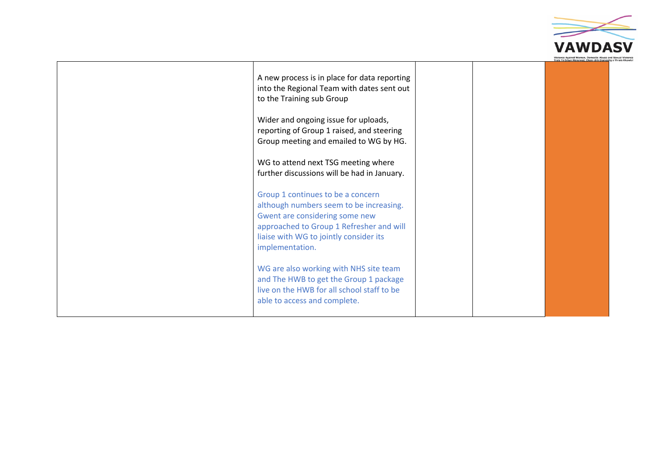

| A new process is in place for data reporting<br>into the Regional Team with dates sent out<br>to the Training sub Group<br>Wider and ongoing issue for uploads,<br>reporting of Group 1 raised, and steering<br>Group meeting and emailed to WG by HG.<br>WG to attend next TSG meeting where<br>further discussions will be had in January.                                              |  |  |
|-------------------------------------------------------------------------------------------------------------------------------------------------------------------------------------------------------------------------------------------------------------------------------------------------------------------------------------------------------------------------------------------|--|--|
| Group 1 continues to be a concern<br>although numbers seem to be increasing.<br>Gwent are considering some new<br>approached to Group 1 Refresher and will<br>liaise with WG to jointly consider its<br>implementation.<br>WG are also working with NHS site team<br>and The HWB to get the Group 1 package<br>live on the HWB for all school staff to be<br>able to access and complete. |  |  |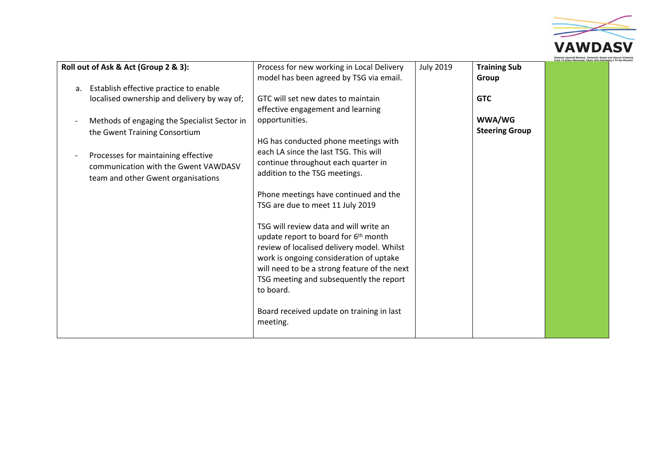

|    | Roll out of Ask & Act (Group 2 & 3):                                                                                                               | Process for new working in Local Delivery                                                                                                                                                                                                                                                                                                                                                                                                                                                                                         | <b>July 2019</b> | <b>Training Sub</b>   |  |
|----|----------------------------------------------------------------------------------------------------------------------------------------------------|-----------------------------------------------------------------------------------------------------------------------------------------------------------------------------------------------------------------------------------------------------------------------------------------------------------------------------------------------------------------------------------------------------------------------------------------------------------------------------------------------------------------------------------|------------------|-----------------------|--|
| a. | Establish effective practice to enable                                                                                                             | model has been agreed by TSG via email.                                                                                                                                                                                                                                                                                                                                                                                                                                                                                           |                  | Group                 |  |
|    | localised ownership and delivery by way of;                                                                                                        | GTC will set new dates to maintain<br>effective engagement and learning                                                                                                                                                                                                                                                                                                                                                                                                                                                           |                  | <b>GTC</b>            |  |
|    | Methods of engaging the Specialist Sector in                                                                                                       | opportunities.                                                                                                                                                                                                                                                                                                                                                                                                                                                                                                                    |                  | WWA/WG                |  |
|    | the Gwent Training Consortium<br>Processes for maintaining effective<br>communication with the Gwent VAWDASV<br>team and other Gwent organisations | HG has conducted phone meetings with<br>each LA since the last TSG. This will<br>continue throughout each quarter in<br>addition to the TSG meetings.<br>Phone meetings have continued and the<br>TSG are due to meet 11 July 2019<br>TSG will review data and will write an<br>update report to board for 6 <sup>th</sup> month<br>review of localised delivery model. Whilst<br>work is ongoing consideration of uptake<br>will need to be a strong feature of the next<br>TSG meeting and subsequently the report<br>to board. |                  | <b>Steering Group</b> |  |
|    |                                                                                                                                                    | Board received update on training in last<br>meeting.                                                                                                                                                                                                                                                                                                                                                                                                                                                                             |                  |                       |  |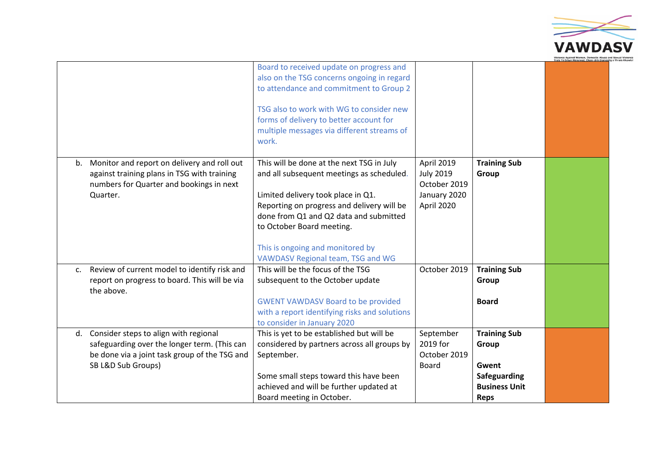

|             |                                                                                                                                                              | Board to received update on progress and<br>also on the TSG concerns ongoing in regard<br>to attendance and commitment to Group 2<br>TSG also to work with WG to consider new<br>forms of delivery to better account for<br>multiple messages via different streams of<br>work.                                            |                                                                              |                                                                                              |  |
|-------------|--------------------------------------------------------------------------------------------------------------------------------------------------------------|----------------------------------------------------------------------------------------------------------------------------------------------------------------------------------------------------------------------------------------------------------------------------------------------------------------------------|------------------------------------------------------------------------------|----------------------------------------------------------------------------------------------|--|
| b.          | Monitor and report on delivery and roll out<br>against training plans in TSG with training<br>numbers for Quarter and bookings in next<br>Quarter.           | This will be done at the next TSG in July<br>and all subsequent meetings as scheduled.<br>Limited delivery took place in Q1.<br>Reporting on progress and delivery will be<br>done from Q1 and Q2 data and submitted<br>to October Board meeting.<br>This is ongoing and monitored by<br>VAWDASV Regional team, TSG and WG | April 2019<br><b>July 2019</b><br>October 2019<br>January 2020<br>April 2020 | <b>Training Sub</b><br>Group                                                                 |  |
| $C_{\star}$ | Review of current model to identify risk and<br>report on progress to board. This will be via<br>the above.                                                  | This will be the focus of the TSG<br>subsequent to the October update<br><b>GWENT VAWDASV Board to be provided</b><br>with a report identifying risks and solutions<br>to consider in January 2020                                                                                                                         | October 2019                                                                 | <b>Training Sub</b><br>Group<br><b>Board</b>                                                 |  |
| d.          | Consider steps to align with regional<br>safeguarding over the longer term. (This can<br>be done via a joint task group of the TSG and<br>SB L&D Sub Groups) | This is yet to be established but will be<br>considered by partners across all groups by<br>September.<br>Some small steps toward this have been<br>achieved and will be further updated at<br>Board meeting in October.                                                                                                   | September<br>2019 for<br>October 2019<br><b>Board</b>                        | <b>Training Sub</b><br>Group<br>Gwent<br>Safeguarding<br><b>Business Unit</b><br><b>Reps</b> |  |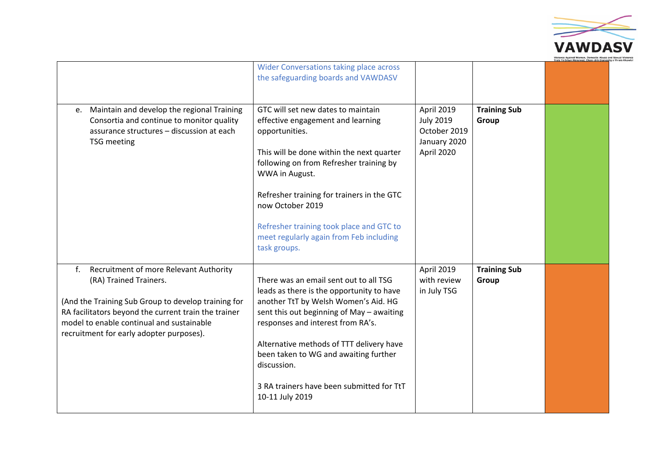

| Maintain and develop the regional Training<br>e.<br>Consortia and continue to monitor quality<br>assurance structures - discussion at each<br><b>TSG</b> meeting                                                                                                               | <b>Wider Conversations taking place across</b><br>the safeguarding boards and VAWDASV<br>GTC will set new dates to maintain<br>effective engagement and learning<br>opportunities.<br>This will be done within the next quarter<br>following on from Refresher training by<br>WWA in August.<br>Refresher training for trainers in the GTC<br>now October 2019<br>Refresher training took place and GTC to<br>meet regularly again from Feb including | April 2019<br><b>July 2019</b><br>October 2019<br>January 2020<br>April 2020 | <b>Training Sub</b><br>Group |  |
|--------------------------------------------------------------------------------------------------------------------------------------------------------------------------------------------------------------------------------------------------------------------------------|-------------------------------------------------------------------------------------------------------------------------------------------------------------------------------------------------------------------------------------------------------------------------------------------------------------------------------------------------------------------------------------------------------------------------------------------------------|------------------------------------------------------------------------------|------------------------------|--|
| Recruitment of more Relevant Authority<br>f.<br>(RA) Trained Trainers.<br>(And the Training Sub Group to develop training for<br>RA facilitators beyond the current train the trainer<br>model to enable continual and sustainable<br>recruitment for early adopter purposes). | task groups.<br>There was an email sent out to all TSG<br>leads as there is the opportunity to have<br>another TtT by Welsh Women's Aid. HG<br>sent this out beginning of May - awaiting<br>responses and interest from RA's.<br>Alternative methods of TTT delivery have<br>been taken to WG and awaiting further<br>discussion.<br>3 RA trainers have been submitted for TtT<br>10-11 July 2019                                                     | April 2019<br>with review<br>in July TSG                                     | <b>Training Sub</b><br>Group |  |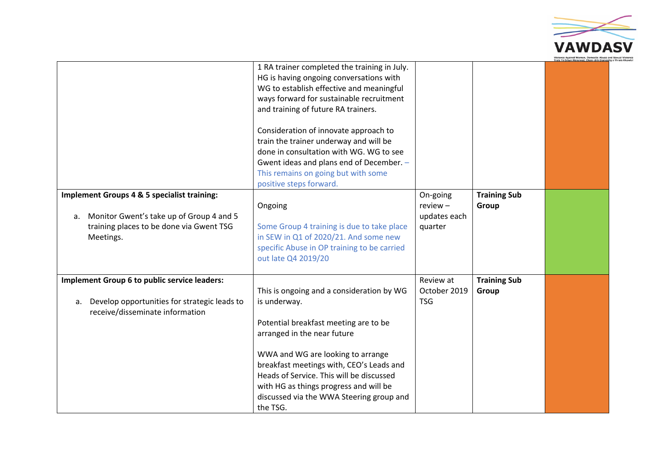

|    |                                                                                                    | 1 RA trainer completed the training in July.<br>HG is having ongoing conversations with<br>WG to establish effective and meaningful<br>ways forward for sustainable recruitment<br>and training of future RA trainers.<br>Consideration of innovate approach to<br>train the trainer underway and will be<br>done in consultation with WG. WG to see<br>Gwent ideas and plans end of December. -<br>This remains on going but with some<br>positive steps forward. |                                        |                              |  |
|----|----------------------------------------------------------------------------------------------------|--------------------------------------------------------------------------------------------------------------------------------------------------------------------------------------------------------------------------------------------------------------------------------------------------------------------------------------------------------------------------------------------------------------------------------------------------------------------|----------------------------------------|------------------------------|--|
| a. | <b>Implement Groups 4 &amp; 5 specialist training:</b><br>Monitor Gwent's take up of Group 4 and 5 | Ongoing                                                                                                                                                                                                                                                                                                                                                                                                                                                            | On-going<br>$review -$<br>updates each | <b>Training Sub</b><br>Group |  |
|    | training places to be done via Gwent TSG<br>Meetings.                                              | Some Group 4 training is due to take place<br>in SEW in Q1 of 2020/21. And some new<br>specific Abuse in OP training to be carried<br>out late Q4 2019/20                                                                                                                                                                                                                                                                                                          | quarter                                |                              |  |
|    | Implement Group 6 to public service leaders:                                                       |                                                                                                                                                                                                                                                                                                                                                                                                                                                                    | Review at                              | <b>Training Sub</b>          |  |
| а. | Develop opportunities for strategic leads to<br>receive/disseminate information                    | This is ongoing and a consideration by WG<br>is underway.<br>Potential breakfast meeting are to be<br>arranged in the near future<br>WWA and WG are looking to arrange<br>breakfast meetings with, CEO's Leads and<br>Heads of Service. This will be discussed<br>with HG as things progress and will be<br>discussed via the WWA Steering group and<br>the TSG.                                                                                                   | October 2019<br><b>TSG</b>             | Group                        |  |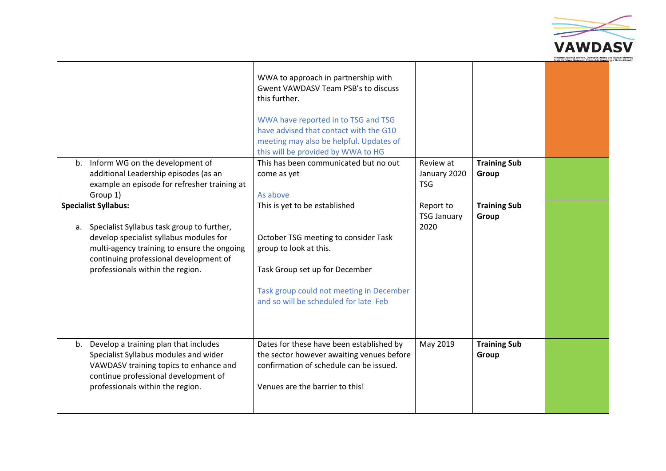

|                                                                                                                                                                                                                                                      | WWA to approach in partnership with<br><b>Gwent VAWDASV Team PSB's to discuss</b><br>this further.<br>WWA have reported in to TSG and TSG<br>have advised that contact with the G10<br>meeting may also be helpful. Updates of<br>this will be provided by WWA to HG |                                         |                              |  |
|------------------------------------------------------------------------------------------------------------------------------------------------------------------------------------------------------------------------------------------------------|----------------------------------------------------------------------------------------------------------------------------------------------------------------------------------------------------------------------------------------------------------------------|-----------------------------------------|------------------------------|--|
| b. Inform WG on the development of                                                                                                                                                                                                                   | This has been communicated but no out                                                                                                                                                                                                                                | Review at                               | <b>Training Sub</b>          |  |
| additional Leadership episodes (as an<br>example an episode for refresher training at                                                                                                                                                                | come as yet                                                                                                                                                                                                                                                          | January 2020<br><b>TSG</b>              | Group                        |  |
| Group 1)                                                                                                                                                                                                                                             | As above                                                                                                                                                                                                                                                             |                                         |                              |  |
| <b>Specialist Syllabus:</b><br>a. Specialist Syllabus task group to further,<br>develop specialist syllabus modules for<br>multi-agency training to ensure the ongoing<br>continuing professional development of<br>professionals within the region. | This is yet to be established<br>October TSG meeting to consider Task<br>group to look at this.<br>Task Group set up for December<br>Task group could not meeting in December<br>and so will be scheduled for late Feb                                               | Report to<br><b>TSG January</b><br>2020 | <b>Training Sub</b><br>Group |  |
| b. Develop a training plan that includes<br>Specialist Syllabus modules and wider<br>VAWDASV training topics to enhance and<br>continue professional development of<br>professionals within the region.                                              | Dates for these have been established by<br>the sector however awaiting venues before<br>confirmation of schedule can be issued.<br>Venues are the barrier to this!                                                                                                  | May 2019                                | <b>Training Sub</b><br>Group |  |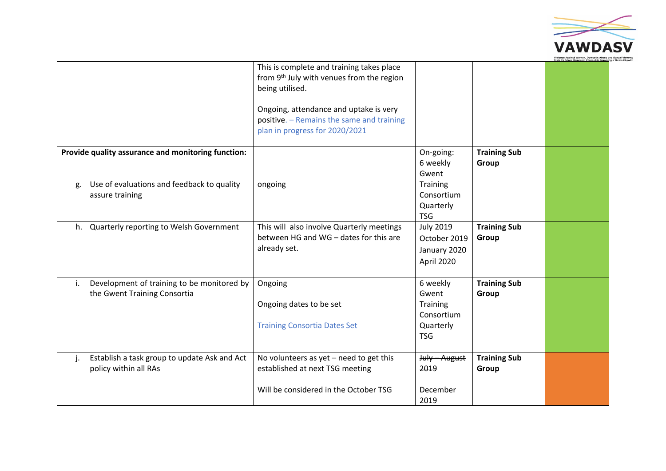

|    |                                                                                                                     | This is complete and training takes place<br>from 9 <sup>th</sup> July with venues from the region<br>being utilised.<br>Ongoing, attendance and uptake is very |                                                                                            |                              | Frais Yn Erbyn Menywod, Ch. |
|----|---------------------------------------------------------------------------------------------------------------------|-----------------------------------------------------------------------------------------------------------------------------------------------------------------|--------------------------------------------------------------------------------------------|------------------------------|-----------------------------|
|    |                                                                                                                     | positive. - Remains the same and training<br>plan in progress for 2020/2021                                                                                     |                                                                                            |                              |                             |
| g. | Provide quality assurance and monitoring function:<br>Use of evaluations and feedback to quality<br>assure training | ongoing                                                                                                                                                         | On-going:<br>6 weekly<br>Gwent<br><b>Training</b><br>Consortium<br>Quarterly<br><b>TSG</b> | <b>Training Sub</b><br>Group |                             |
| h. | Quarterly reporting to Welsh Government                                                                             | This will also involve Quarterly meetings<br>between HG and WG - dates for this are<br>already set.                                                             | <b>July 2019</b><br>October 2019<br>January 2020<br>April 2020                             | <b>Training Sub</b><br>Group |                             |
| i. | Development of training to be monitored by<br>the Gwent Training Consortia                                          | Ongoing<br>Ongoing dates to be set<br><b>Training Consortia Dates Set</b>                                                                                       | 6 weekly<br>Gwent<br><b>Training</b><br>Consortium<br>Quarterly<br><b>TSG</b>              | <b>Training Sub</b><br>Group |                             |
| j. | Establish a task group to update Ask and Act<br>policy within all RAs                                               | No volunteers as $yet$ – need to get this<br>established at next TSG meeting<br>Will be considered in the October TSG                                           | July - August<br>2019<br>December<br>2019                                                  | <b>Training Sub</b><br>Group |                             |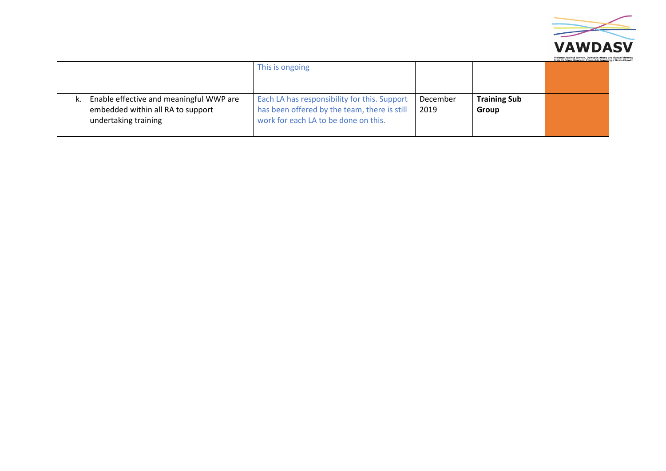

|                                                                                                      | This is ongoing                                                                                                                      |                  |                              | Trais Yn Erbyn Menywod, Cham-drin Domestig |
|------------------------------------------------------------------------------------------------------|--------------------------------------------------------------------------------------------------------------------------------------|------------------|------------------------------|--------------------------------------------|
| Enable effective and meaningful WWP are<br>embedded within all RA to support<br>undertaking training | Each LA has responsibility for this. Support<br>has been offered by the team, there is still<br>work for each LA to be done on this. | December<br>2019 | <b>Training Sub</b><br>Group |                                            |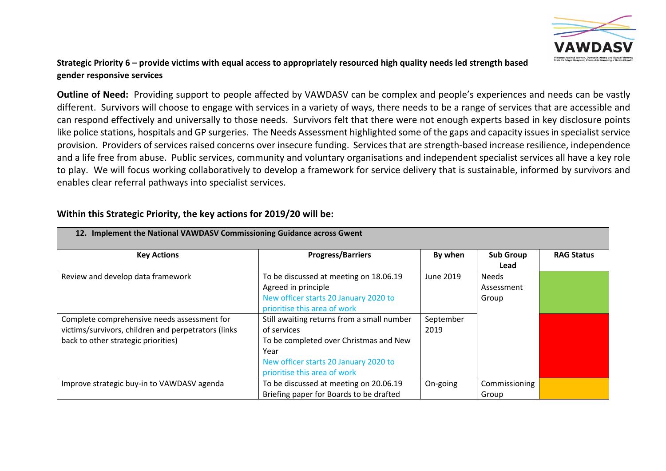

# Strategic Priority 6 – provide victims with equal access to appropriately resourced high quality needs led strength based **gender responsive services**

**Outline of Need:** Providing support to people affected by VAWDASV can be complex and people's experiences and needs can be vastly different. Survivors will choose to engage with services in a variety of ways, there needs to be a range of services that are accessible and can respond effectively and universally to those needs. Survivors felt that there were not enough experts based in key disclosure points like police stations, hospitals and GP surgeries. The Needs Assessment highlighted some of the gaps and capacity issues in specialist service provision. Providers of services raised concerns over insecure funding. Services that are strength-based increase resilience, independence and a life free from abuse. Public services, community and voluntary organisations and independent specialist services all have a key role to play. We will focus working collaboratively to develop a framework for service delivery that is sustainable, informed by survivors and enables clear referral pathways into specialist services.

| 12. Implement the National VAWDASV Commissioning Guidance across Gwent                                                                    |                                                                                                                                                                                      |                   |                                     |                   |
|-------------------------------------------------------------------------------------------------------------------------------------------|--------------------------------------------------------------------------------------------------------------------------------------------------------------------------------------|-------------------|-------------------------------------|-------------------|
| <b>Key Actions</b>                                                                                                                        | <b>Progress/Barriers</b>                                                                                                                                                             | By when           | <b>Sub Group</b><br>Lead            | <b>RAG Status</b> |
| Review and develop data framework                                                                                                         | To be discussed at meeting on 18.06.19<br>Agreed in principle<br>New officer starts 20 January 2020 to<br>prioritise this area of work                                               | June 2019         | <b>Needs</b><br>Assessment<br>Group |                   |
| Complete comprehensive needs assessment for<br>victims/survivors, children and perpetrators (links<br>back to other strategic priorities) | Still awaiting returns from a small number<br>of services<br>To be completed over Christmas and New<br>Year<br>New officer starts 20 January 2020 to<br>prioritise this area of work | September<br>2019 |                                     |                   |
| Improve strategic buy-in to VAWDASV agenda                                                                                                | To be discussed at meeting on 20.06.19<br>Briefing paper for Boards to be drafted                                                                                                    | On-going          | Commissioning<br>Group              |                   |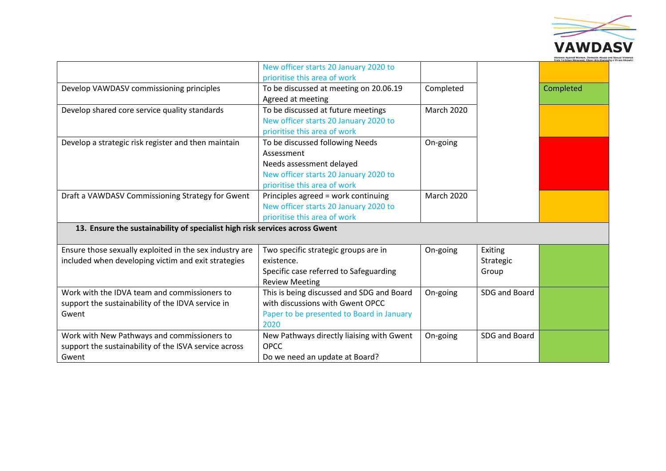

|                                                                             |                                           |                   |               | Trais Yn Erbyn Menywod, Chan |
|-----------------------------------------------------------------------------|-------------------------------------------|-------------------|---------------|------------------------------|
|                                                                             | New officer starts 20 January 2020 to     |                   |               |                              |
|                                                                             | prioritise this area of work              |                   |               |                              |
| Develop VAWDASV commissioning principles                                    | To be discussed at meeting on 20.06.19    | Completed         |               | Completed                    |
|                                                                             | Agreed at meeting                         |                   |               |                              |
| Develop shared core service quality standards                               | To be discussed at future meetings        | <b>March 2020</b> |               |                              |
|                                                                             | New officer starts 20 January 2020 to     |                   |               |                              |
|                                                                             | prioritise this area of work              |                   |               |                              |
| Develop a strategic risk register and then maintain                         | To be discussed following Needs           | On-going          |               |                              |
|                                                                             | Assessment                                |                   |               |                              |
|                                                                             | Needs assessment delayed                  |                   |               |                              |
|                                                                             | New officer starts 20 January 2020 to     |                   |               |                              |
|                                                                             | prioritise this area of work              |                   |               |                              |
| Draft a VAWDASV Commissioning Strategy for Gwent                            | Principles agreed = work continuing       | <b>March 2020</b> |               |                              |
|                                                                             | New officer starts 20 January 2020 to     |                   |               |                              |
|                                                                             | prioritise this area of work              |                   |               |                              |
| 13. Ensure the sustainability of specialist high risk services across Gwent |                                           |                   |               |                              |
|                                                                             |                                           |                   |               |                              |
| Ensure those sexually exploited in the sex industry are                     | Two specific strategic groups are in      | On-going          | Exiting       |                              |
| included when developing victim and exit strategies                         | existence.                                |                   | Strategic     |                              |
|                                                                             | Specific case referred to Safeguarding    |                   | Group         |                              |
|                                                                             | <b>Review Meeting</b>                     |                   |               |                              |
| Work with the IDVA team and commissioners to                                | This is being discussed and SDG and Board | On-going          | SDG and Board |                              |
| support the sustainability of the IDVA service in                           | with discussions with Gwent OPCC          |                   |               |                              |
| Gwent                                                                       | Paper to be presented to Board in January |                   |               |                              |
|                                                                             | 2020                                      |                   |               |                              |
| Work with New Pathways and commissioners to                                 | New Pathways directly liaising with Gwent | On-going          | SDG and Board |                              |
| support the sustainability of the ISVA service across                       | <b>OPCC</b>                               |                   |               |                              |
| Gwent                                                                       | Do we need an update at Board?            |                   |               |                              |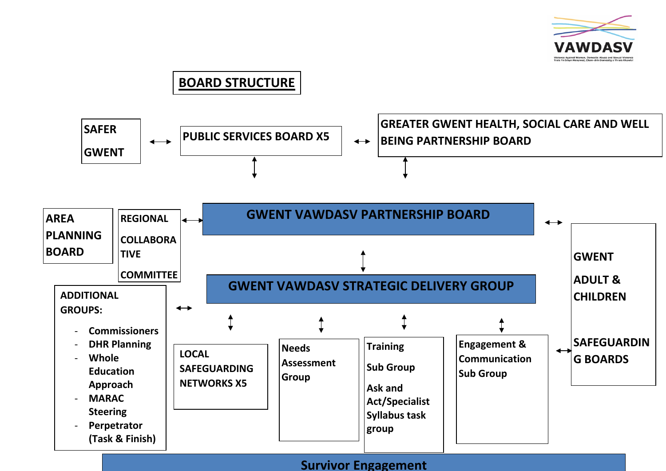

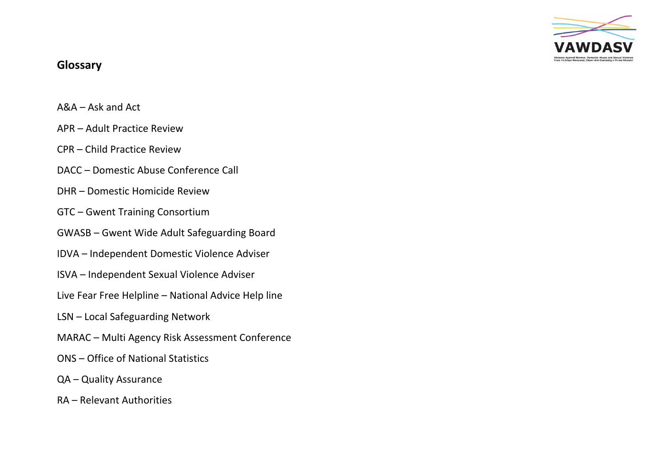

# **Glossary**

- A&A Ask and Act
- APR Adult Practice Review
- CPR Child Practice Review
- DACC Domestic Abuse Conference Call
- DHR Domestic Homicide Review
- GTC Gwent Training Consortium
- GWASB Gwent Wide Adult Safeguarding Board
- IDVA Independent Domestic Violence Adviser
- ISVA Independent Sexual Violence Adviser
- Live Fear Free Helpline National Advice Help line
- LSN Local Safeguarding Network
- MARAC Multi Agency Risk Assessment Conference
- ONS Office of National Statistics
- QA Quality Assurance
- RA Relevant Authorities